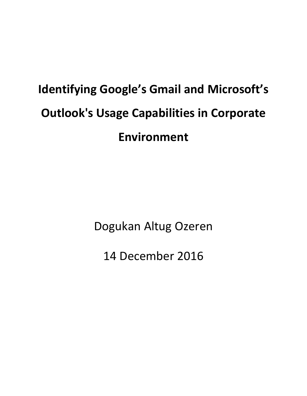# **Identifying Google's Gmail and Microsoft's Outlook's Usage Capabilities in Corporate Environment**

Dogukan Altug Ozeren

14 December 2016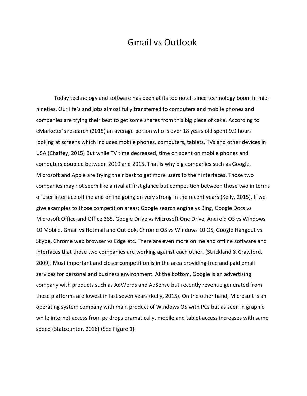# Gmail vs Outlook

Today technology and software has been at its top notch since technology boom in midnineties. Our life's and jobs almost fully transferred to computers and mobile phones and companies are trying their best to get some shares from this big piece of cake. According to eMarketer's research (2015) an average person who is over 18 years old spent 9.9 hours looking at screens which includes mobile phones, computers, tablets, TVs and other devices in USA (Chaffey, 2015) But while TV time decreased, time on spent on mobile phones and computers doubled between 2010 and 2015. That is why big companies such as Google, Microsoft and Apple are trying their best to get more users to their interfaces. Those two companies may not seem like a rival at first glance but competition between those two in terms of user interface offline and online going on very strong in the recent years (Kelly, 2015). If we give examples to those competition areas; Google search engine vs Bing, Google Docs vs Microsoft Office and Office 365, Google Drive vs Microsoft One Drive, Android OS vs Windows 10 Mobile, Gmail vs Hotmail and Outlook, Chrome OS vs Windows 10 OS, Google Hangout vs Skype, Chrome web browser vs Edge etc. There are even more online and offline software and interfaces that those two companies are working against each other. (Strickland & Crawford, 2009). Most important and closer competition is in the area providing free and paid email services for personal and business environment. At the bottom, Google is an advertising company with products such as AdWords and AdSense but recently revenue generated from those platforms are lowest in last seven years (Kelly, 2015). On the other hand, Microsoft is an operating system company with main product of Windows OS with PCs but as seen in graphic while internet access from pc drops dramatically, mobile and tablet access increases with same speed (Statcounter, 2016) (See Figure 1)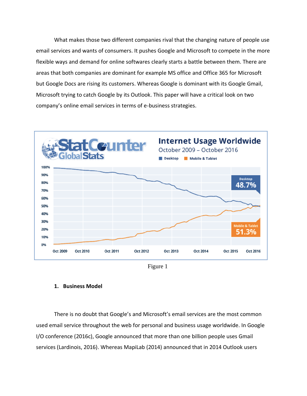What makes those two different companies rival that the changing nature of people use email services and wants of consumers. It pushes Google and Microsoft to compete in the more flexible ways and demand for online softwares clearly starts a battle between them. There are areas that both companies are dominant for example MS office and Office 365 for Microsoft but Google Docs are rising its customers. Whereas Google is dominant with its Google Gmail, Microsoft trying to catch Google by its Outlook. This paper will have a critical look on two company's online email services in terms of e-business strategies.



Figure 1

## **1. Business Model**

There is no doubt that Google's and Microsoft's email services are the most common used email service throughout the web for personal and business usage worldwide. In Google I/O conference (2016c), Google announced that more than one billion people uses Gmail services (Lardinois, 2016). Whereas MapiLab (2014) announced that in 2014 Outlook users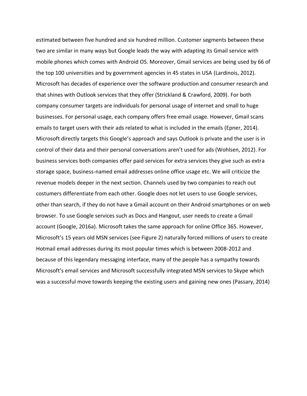estimated between five hundred and six hundred million. Customer segments between these two are similar in many ways but Google leads the way with adapting its Gmail service with mobile phones which comes with Android OS. Moreover, Gmail services are being used by 66 of the top 100 universities and by government agencies in 45 states in USA (Lardinois, 2012). Microsoft has decades of experience over the software production and consumer research and that shines with Outlook services that they offer (Strickland & Crawford, 2009). For both company consumer targets are individuals for personal usage of internet and small to huge businesses. For personal usage, each company offers free email usage. However, Gmail scans emails to target users with their ads related to what is included in the emails (Epner, 2014). Microsoft directly targets this Google's approach and says Outlook is private and the user is in control of their data and their personal conversations aren't used for ads (Wohlsen, 2012). For business services both companies offer paid services for extra services they give such as extra storage space, business-named email addresses online office usage etc. We will criticize the revenue models deeper in the next section. Channels used by two companies to reach out costumers differentiate from each other. Google does not let users to use Google services, other than search, if they do not have a Gmail account on their Android smartphones or on web browser. To use Google services such as Docs and Hangout, user needs to create a Gmail account (Google, 2016a). Microsoft takes the same approach for online Office 365. However, Microsoft's 15 years old MSN services (see Figure 2) naturally forced millions of users to create Hotmail email addresses during its most popular times which is between 2008-2012 and because of this legendary messaging interface, many of the people has a sympathy towards Microsoft's email services and Microsoft successfully integrated MSN services to Skype which was a successful move towards keeping the existing users and gaining new ones (Passary, 2014)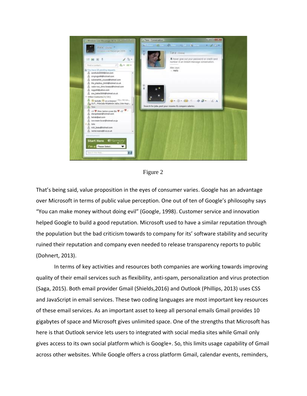

Figure 2

That's being said, value proposition in the eyes of consumer varies. Google has an advantage over Microsoft in terms of public value perception. One out of ten of Google's philosophy says "You can make money without doing evil" (Google, 1998). Customer service and innovation helped Google to build a good reputation. Microsoft used to have a similar reputation through the population but the bad criticism towards to company for its' software stability and security ruined their reputation and company even needed to release transparency reports to public (Dohnert, 2013).

In terms of key activities and resources both companies are working towards improving quality of their email services such as flexibility, anti-spam, personalization and virus protection (Saga, 2015). Both email provider Gmail (Shields,2016) and Outlook (Phillips, 2013) uses CSS and JavaScript in email services. These two coding languages are most important key resources of these email services. As an important asset to keep all personal emails Gmail provides 10 gigabytes of space and Microsoft gives unlimited space. One of the strengths that Microsoft has here is that Outlook service lets users to integrated with social media sites while Gmail only gives access to its own social platform which is Google+. So, this limits usage capability of Gmail across other websites. While Google offers a cross platform Gmail, calendar events, reminders,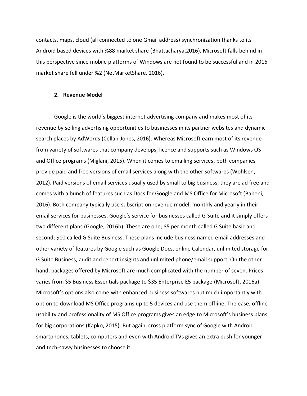contacts, maps, cloud (all connected to one Gmail address) synchronization thanks to its Android based devices with %88 market share (Bhattacharya,2016), Microsoft falls behind in this perspective since mobile platforms of Windows are not found to be successful and in 2016 market share fell under %2 (NetMarketShare, 2016).

#### **2. Revenue Model**

Google is the world's biggest internet advertising company and makes most of its revenue by selling advertising opportunities to businesses in its partner websites and dynamic search places by AdWords (Cellan-Jones, 2016). Whereas Microsoft earn most of its revenue from variety of softwares that company develops, licence and supports such as Windows OS and Office programs (Miglani, 2015). When it comes to emailing services, both companies provide paid and free versions of email services along with the other softwares (Wohlsen, 2012). Paid versions of email services usually used by small to big business, they are ad free and comes with a bunch of features such as Docs for Google and MS Office for Microsoft (Babeni, 2016). Both company typically use subscription revenue model, monthly and yearly in their email services for businesses. Google's service for businesses called G Suite and it simply offers two different plans (Google, 2016b). These are one; \$5 per month called G Suite basic and second; \$10 called G Suite Business. These plans include business named email addresses and other variety of features by Google such as Google Docs, online Calendar, unlimited storage for G Suite Business, audit and report insights and unlimited phone/email support. On the other hand, packages offered by Microsoft are much complicated with the number of seven. Prices varies from \$5 Business Essentials package to \$35 Enterprise E5 package (Microsoft, 2016a). Microsoft's options also come with enhanced business softwares but much importantly with option to download MS Office programs up to 5 devices and use them offline. The ease, offline usability and professionality of MS Office programs gives an edge to Microsoft's business plans for big corporations (Kapko, 2015). But again, cross platform sync of Google with Android smartphones, tablets, computers and even with Android TVs gives an extra push for younger and tech-savvy businesses to choose it.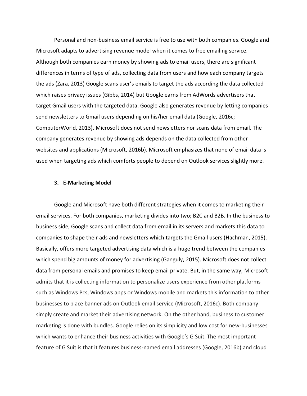Personal and non-business email service is free to use with both companies. Google and Microsoft adapts to advertising revenue model when it comes to free emailing service. Although both companies earn money by showing ads to email users, there are significant differences in terms of type of ads, collecting data from users and how each company targets the ads (Zara, 2013) Google scans user's emails to target the ads according the data collected which raises privacy issues (Gibbs, 2014) but Google earns from AdWords advertisers that target Gmail users with the targeted data. Google also generates revenue by letting companies send newsletters to Gmail users depending on his/her email data (Google, 2016c; ComputerWorld, 2013). Microsoft does not send newsletters nor scans data from email. The company generates revenue by showing ads depends on the data collected from other websites and applications (Microsoft, 2016b). Microsoft emphasizes that none of email data is used when targeting ads which comforts people to depend on Outlook services slightly more.

## **3. E-Marketing Model**

Google and Microsoft have both different strategies when it comes to marketing their email services. For both companies, marketing divides into two; B2C and B2B. In the business to business side, Google scans and collect data from email in its servers and markets this data to companies to shape their ads and newsletters which targets the Gmail users (Hachman, 2015). Basically, offers more targeted advertising data which is a huge trend between the companies which spend big amounts of money for advertising (Ganguly, 2015). Microsoft does not collect data from personal emails and promises to keep email private. But, in the same way, Microsoft admits that it is collecting information to personalize users experience from other platforms such as Windows Pcs, Windows apps or Windows mobile and markets this information to other businesses to place banner ads on Outlook email service (Microsoft, 2016c). Both company simply create and market their advertising network. On the other hand, business to customer marketing is done with bundles. Google relies on its simplicity and low cost for new-businesses which wants to enhance their business activities with Google's G Suit. The most important feature of G Suit is that it features business-named email addresses (Google, 2016b) and cloud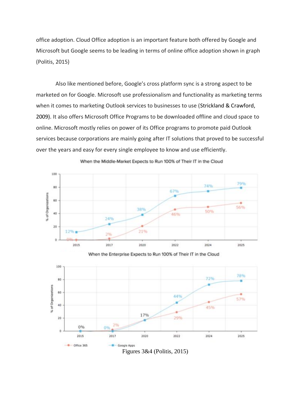office adoption. Cloud Office adoption is an important feature both offered by Google and Microsoft but Google seems to be leading in terms of online office adoption shown in graph (Politis, 2015)

Also like mentioned before, Google's cross platform sync is a strong aspect to be marketed on for Google. Microsoft use professionalism and functionality as marketing terms when it comes to marketing Outlook services to businesses to use (Strickland & Crawford, 2009). It also offers Microsoft Office Programs to be downloaded offline and cloud space to online. Microsoft mostly relies on power of its Office programs to promote paid Outlook services because corporations are mainly going after IT solutions that proved to be successful over the years and easy for every single employee to know and use efficiently.



When the Middle-Market Expects to Run 100% of Their IT in the Cloud

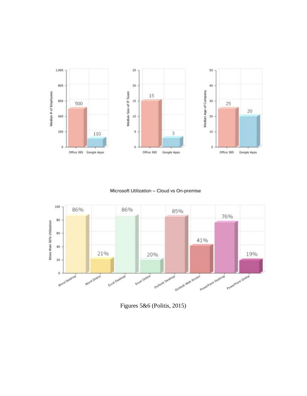

Microsoft Utilization - Cloud vs On-premise



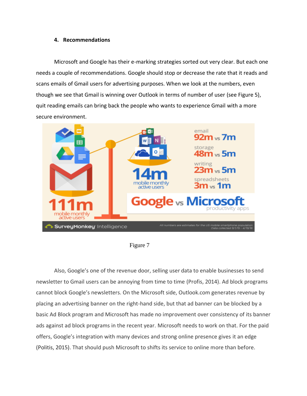# **4. Recommendations**

Microsoft and Google has their e-marking strategies sorted out very clear. But each one needs a couple of recommendations. Google should stop or decrease the rate that it reads and scans emails of Gmail users for advertising purposes. When we look at the numbers, even though we see that Gmail is winning over Outlook in terms of number of user (see Figure 5), quit reading emails can bring back the people who wants to experience Gmail with a more secure environment.



Figure 7

Also, Google's one of the revenue door, selling user data to enable businesses to send newsletter to Gmail users can be annoying from time to time (Profis, 2014). Ad block programs cannot block Google's newsletters. On the Microsoft side, Outlook.com generates revenue by placing an advertising banner on the right-hand side, but that ad banner can be blocked by a basic Ad Block program and Microsoft has made no improvement over consistency of its banner ads against ad block programs in the recent year. Microsoft needs to work on that. For the paid offers, Google's integration with many devices and strong online presence gives it an edge (Politis, 2015). That should push Microsoft to shifts its service to online more than before.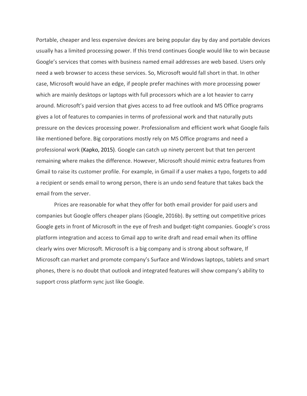Portable, cheaper and less expensive devices are being popular day by day and portable devices usually has a limited processing power. If this trend continues Google would like to win because Google's services that comes with business named email addresses are web based. Users only need a web browser to access these services. So, Microsoft would fall short in that. In other case, Microsoft would have an edge, if people prefer machines with more processing power which are mainly desktops or laptops with full processors which are a lot heavier to carry around. Microsoft's paid version that gives access to ad free outlook and MS Office programs gives a lot of features to companies in terms of professional work and that naturally puts pressure on the devices processing power. Professionalism and efficient work what Google fails like mentioned before. Big corporations mostly rely on MS Office programs and need a professional work (Kapko, 2015). Google can catch up ninety percent but that ten percent remaining where makes the difference. However, Microsoft should mimic extra features from Gmail to raise its customer profile. For example, in Gmail if a user makes a typo, forgets to add a recipient or sends email to wrong person, there is an undo send feature that takes back the email from the server.

Prices are reasonable for what they offer for both email provider for paid users and companies but Google offers cheaper plans (Google, 2016b). By setting out competitive prices Google gets in front of Microsoft in the eye of fresh and budget-tight companies. Google's cross platform integration and access to Gmail app to write draft and read email when its offline clearly wins over Microsoft. Microsoft is a big company and is strong about software, If Microsoft can market and promote company's Surface and Windows laptops, tablets and smart phones, there is no doubt that outlook and integrated features will show company's ability to support cross platform sync just like Google.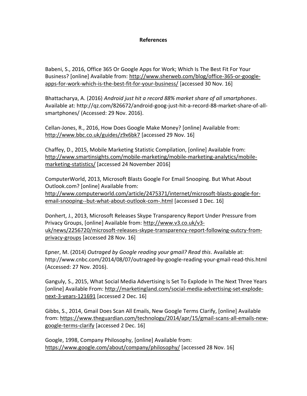# **References**

Babeni, S., 2016, Office 365 Or Google Apps for Work; Which Is The Best Fit For Your Business? [online] Available from: [http://www.sherweb.com/blog/office-365-or-google](http://www.sherweb.com/blog/office-365-or-google-apps-for-work-which-is-the-best-fit-for-your-business/)[apps-for-work-which-is-the-best-fit-for-your-business/](http://www.sherweb.com/blog/office-365-or-google-apps-for-work-which-is-the-best-fit-for-your-business/) [accessed 30 Nov. 16]

Bhattacharya, A. (2016) *Android just hit a record 88% market share of all smartphones*. Available at: http://qz.com/826672/android-goog-just-hit-a-record-88-market-share-of-allsmartphones/ (Accessed: 29 Nov. 2016).

Cellan-Jones, R., 2016, How Does Google Make Money? [online] Available from: <http://www.bbc.co.uk/guides/z9x6bk7> [accessed 29 Nov. 16]

Chaffey, D., 2015, Mobile Marketing Statistic Compilation, [online] Available from: [http://www.smartinsights.com/mobile-marketing/mobile-marketing-analytics/mobile](http://www.smartinsights.com/mobile-marketing/mobile-marketing-analytics/mobile-marketing-statistics/)[marketing-statistics/](http://www.smartinsights.com/mobile-marketing/mobile-marketing-analytics/mobile-marketing-statistics/) [accessed 24 November 2016]

ComputerWorld, 2013, Microsoft Blasts Google For Email Snooping. But What About Outlook.com? [online] Available from: [http://www.computerworld.com/article/2475371/internet/microsoft-blasts-google-for](http://www.computerworld.com/article/2475371/internet/microsoft-blasts-google-for-email-snooping--but-what-about-outlook-com-.html)[email-snooping--but-what-about-outlook-com-.html](http://www.computerworld.com/article/2475371/internet/microsoft-blasts-google-for-email-snooping--but-what-about-outlook-com-.html) [accessed 1 Dec. 16]

Donhert, J., 2013, Microsoft Releases Skype Transparency Report Under Pressure from Privacy Groups, [online] Available from: [http://www.v3.co.uk/v3](http://www.v3.co.uk/v3-uk/news/2256720/microsoft-releases-skype-transparency-report-following-outcry-from-privacy-groups) [uk/news/2256720/microsoft-releases-skype-transparency-report-following-outcry-from](http://www.v3.co.uk/v3-uk/news/2256720/microsoft-releases-skype-transparency-report-following-outcry-from-privacy-groups)[privacy-groups](http://www.v3.co.uk/v3-uk/news/2256720/microsoft-releases-skype-transparency-report-following-outcry-from-privacy-groups) [accessed 28 Nov. 16]

Epner, M. (2014) *Outraged by Google reading your gmail? Read this*. Available at: http://www.cnbc.com/2014/08/07/outraged-by-google-reading-your-gmail-read-this.html (Accessed: 27 Nov. 2016).

Ganguly, S., 2015, What Social Media Advertising Is Set To Explode In The Next Three Years [online] Available From: [http://marketingland.com/social-media-advertising-set-explode](http://marketingland.com/social-media-advertising-set-explode-next-3-years-121691)[next-3-years-121691](http://marketingland.com/social-media-advertising-set-explode-next-3-years-121691) [accessed 2 Dec. 16]

Gibbs, S., 2014, Gmail Does Scan All Emails, New Google Terms Clarify, [online] Available from: [https://www.theguardian.com/technology/2014/apr/15/gmail-scans-all-emails-new](https://www.theguardian.com/technology/2014/apr/15/gmail-scans-all-emails-new-google-terms-clarify)[google-terms-clarify](https://www.theguardian.com/technology/2014/apr/15/gmail-scans-all-emails-new-google-terms-clarify) [accessed 2 Dec. 16]

Google, 1998, Company Philosophy, [online] Available from: <https://www.google.com/about/company/philosophy/> [accessed 28 Nov. 16]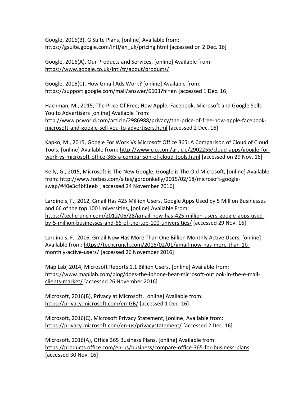Google, 2016(B), G Suite Plans, [online] Available from: [https://gsuite.google.com/intl/en\\_uk/pricing.html](https://gsuite.google.com/intl/en_uk/pricing.html) [accessed on 2 Dec. 16]

Google, 2016(A), Our Products and Services, [online] Available from: <https://www.google.co.uk/intl/tr/about/products/>

Google, 2016(C), How Gmail Ads Work? [online] Available from: <https://support.google.com/mail/answer/6603?hl=en> [accessed 1 Dec. 16]

Hachman, M., 2015, The Price Of Free; How Apple, Facebook, Microsoft and Google Sells You to Advertisers [online] Available From: [http://www.pcworld.com/article/2986988/privacy/the-price-of-free-how-apple-facebook](http://www.pcworld.com/article/2986988/privacy/the-price-of-free-how-apple-facebook-microsoft-and-google-sell-you-to-advertisers.html)[microsoft-and-google-sell-you-to-advertisers.html](http://www.pcworld.com/article/2986988/privacy/the-price-of-free-how-apple-facebook-microsoft-and-google-sell-you-to-advertisers.html) [accessed 2 Dec. 16]

Kapko, M., 2015, Google For Work Vs Microsoft Office 365: A Comparison of Cloud of Cloud Tools, [online] Available from: [http://www.cio.com/article/2902255/cloud-apps/google-for](http://www.cio.com/article/2902255/cloud-apps/google-for-work-vs-microsoft-office-365-a-comparison-of-cloud-tools.html)[work-vs-microsoft-office-365-a-comparison-of-cloud-tools.html](http://www.cio.com/article/2902255/cloud-apps/google-for-work-vs-microsoft-office-365-a-comparison-of-cloud-tools.html) [accessed on 29 Nov. 16]

Kelly, G., 2015, Microsoft is The New Google, Google is The Old Microsoft, [online] Available from: [http://www.forbes.com/sites/gordonkelly/2015/02/18/microsoft-google](http://www.forbes.com/sites/gordonkelly/2015/02/18/microsoft-google-swap/#40e3c4bf1eeb)[swap/#40e3c4bf1eeb](http://www.forbes.com/sites/gordonkelly/2015/02/18/microsoft-google-swap/#40e3c4bf1eeb) [ accessed 24 November 2016]

Lardinois, F., 2012, Gmail Has 425 Million Users, Google Apps Used by 5 Million Businesses and 66 of the top 100 Universities, [online] Available From: [https://techcrunch.com/2012/06/28/gmail-now-has-425-million-users-google-apps-used](https://techcrunch.com/2012/06/28/gmail-now-has-425-million-users-google-apps-used-by-5-million-businesses-and-66-of-the-top-100-universities/)[by-5-million-businesses-and-66-of-the-top-100-universities/](https://techcrunch.com/2012/06/28/gmail-now-has-425-million-users-google-apps-used-by-5-million-businesses-and-66-of-the-top-100-universities/) [accessed 29 Nov. 16]

Lardinois, F., 2016, Gmail Now Has More Than One Billion Monthly Active Users, [online] Available from: [https://techcrunch.com/2016/02/01/gmail-now-has-more-than-1b](https://techcrunch.com/2016/02/01/gmail-now-has-more-than-1b-monthly-active-users/)[monthly-active-users/](https://techcrunch.com/2016/02/01/gmail-now-has-more-than-1b-monthly-active-users/) [accessed 26 November 2016]

MapiLab, 2014, Microsoft Reports 1.1 Billion Users, [online] Available from: [https://www.mapilab.com/blog/does-the-iphone-beat-microsoft-outlook-in-the-e-mail](https://www.mapilab.com/blog/does-the-iphone-beat-microsoft-outlook-in-the-e-mail-clients-market/)[clients-market/](https://www.mapilab.com/blog/does-the-iphone-beat-microsoft-outlook-in-the-e-mail-clients-market/) [accessed 26 November 2016]

Microsoft, 2016(B), Privacy at Microsoft, [online] Available from: <https://privacy.microsoft.com/en-GB/> [accessed 1 Dec. 16]

Microsoft, 2016(C), Microsoft Privacy Statement, [online] Available from: <https://privacy.microsoft.com/en-us/privacystatement/> [accessed 2 Dec. 16]

Microsoft, 2016(A), Office 365 Business Plans, [online] Available from: <https://products.office.com/en-us/business/compare-office-365-for-business-plans> [accessed 30 Nov. 16]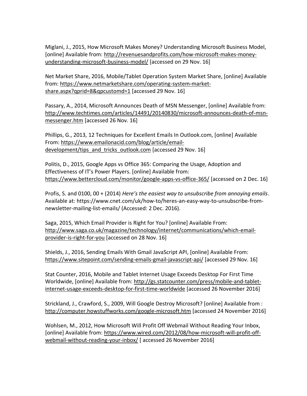Miglani, J., 2015, How Microsoft Makes Money? Understanding Microsoft Business Model, [online] Available from: [http://revenuesandprofits.com/how-microsoft-makes-money](http://revenuesandprofits.com/how-microsoft-makes-money-understanding-microsoft-business-model/)[understanding-microsoft-business-model/](http://revenuesandprofits.com/how-microsoft-makes-money-understanding-microsoft-business-model/) [accessed on 29 Nov. 16]

Net Market Share, 2016, Mobile/Tablet Operation System Market Share, [online] Available from: [https://www.netmarketshare.com/operating-system-market](https://www.netmarketshare.com/operating-system-market-share.aspx?qprid=8&qpcustomd=1)[share.aspx?qprid=8&qpcustomd=1](https://www.netmarketshare.com/operating-system-market-share.aspx?qprid=8&qpcustomd=1) [accessed 29 Nov. 16]

Passary, A., 2014, Microsoft Announces Death of MSN Messenger, [online] Available from: [http://www.techtimes.com/articles/14491/20140830/microsoft-announces-death-of-msn](http://www.techtimes.com/articles/14491/20140830/microsoft-announces-death-of-msn-messenger.htm)[messenger.htm](http://www.techtimes.com/articles/14491/20140830/microsoft-announces-death-of-msn-messenger.htm) [accessed 26 Nov. 16]

Phillips, G., 2013, 12 Techniques for Excellent Emails In Outlook.com, [online] Available From: [https://www.emailonacid.com/blog/article/email](https://www.emailonacid.com/blog/article/email-development/tips_and_tricks_outlook.com)[development/tips\\_and\\_tricks\\_outlook.com](https://www.emailonacid.com/blog/article/email-development/tips_and_tricks_outlook.com) [accessed 29 Nov. 16]

Politis, D., 2015, Google Apps vs Office 365: Comparing the Usage, Adoption and Effectiveness of IT's Power Players. [online] Available from: <https://www.bettercloud.com/monitor/google-apps-vs-office-365/> [accessed on 2 Dec. 16]

Profis, S. and 0100, 00 + (2014) *Here's the easiest way to unsubscribe from annoying emails*. Available at: https://www.cnet.com/uk/how-to/heres-an-easy-way-to-unsubscribe-fromnewsletter-mailing-list-emails/ (Accessed: 2 Dec. 2016).

Saga, 2015, Which Email Provider is Right for You? [online] Available From: [http://www.saga.co.uk/magazine/technology/internet/communications/which-email](http://www.saga.co.uk/magazine/technology/internet/communications/which-email-provider-is-right-for-you)[provider-is-right-for-you](http://www.saga.co.uk/magazine/technology/internet/communications/which-email-provider-is-right-for-you) [accessed on 28 Nov. 16]

Shields, J., 2016, Sending Emails With Gmail JavaScript API, [online] Available From: <https://www.sitepoint.com/sending-emails-gmail-javascript-api/> [accessed 29 Nov. 16]

Stat Counter, 2016, Mobile and Tablet Internet Usage Exceeds Desktop For First Time Worldwide, [online] Available from: [http://gs.statcounter.com/press/mobile-and-tablet](http://gs.statcounter.com/press/mobile-and-tablet-internet-usage-exceeds-desktop-for-first-time-worldwide)[internet-usage-exceeds-desktop-for-first-time-worldwide](http://gs.statcounter.com/press/mobile-and-tablet-internet-usage-exceeds-desktop-for-first-time-worldwide) [accessed 26 November 2016]

Strickland, J., Crawford, S., 2009, Will Google Destroy Microsoft? [online] Available from : <http://computer.howstuffworks.com/google-microsoft.htm> [accessed 24 November 2016]

Wohlsen, M., 2012, How Microsoft Will Profit Off Webmail Without Reading Your Inbox, [online] Available from: [https://www.wired.com/2012/08/how-microsoft-will-profit-off](https://www.wired.com/2012/08/how-microsoft-will-profit-off-webmail-without-reading-your-inbox/)[webmail-without-reading-your-inbox/](https://www.wired.com/2012/08/how-microsoft-will-profit-off-webmail-without-reading-your-inbox/) [ accessed 26 November 2016]